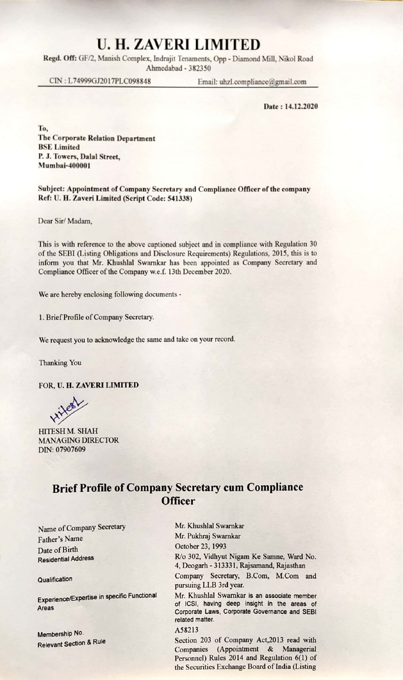# U. H. ZAVERI LIMITED

Regd. Off: GF/2, Manish Complex, Indrajit Tenaments, Opp - Diamond Mill, Nikol Road Ahmedabad - 382350

CIN : L74999GJ2017PLC098848 Email: uhzl.compliance@gmail.com

Date : 14.12.2020

To, The Corporate Relation Department BSE Limited P. J. Towers, Dalal Street, Mumbai-400001

#### Subject: Appointment of Company Secretary and Compliance Officer of the company Ref: U. H. Zaveri Limited (Script Code: 541338)

Dear Sir/ Madam,

This is with reference to the above captioned subject and in compliance with Regulation 30 of the SEBI (Listing Obligations and Disclosure Requirements) Regulations, 2015, this is to inform you that Mr. Khushlal Swarnkar has been appointed as Company Secretary and Compliance Officer of the Company w.e.f. 13th December 2020.

We are hereby enclosing following documents -

1. Brief Profile of Company Secretary.

We request you to acknowledge the same and take on your record.

Thanking You

FOR, U. H. ZAVERI LIMITED

intern

HITESH M. SHAH MANAGING DIRECTOR DIN: 07907609

## Brief Profile of Company Secretary cum Compliance **Officer**

Name of Company Secretary Mr. Khushlal Swarnkar<br>
Mr. Pukhraj Swarnkar<br>
Mr. Pukhraj Swarnkar Father's Name Mr. Pukhraj Swarn<br>Dete of Birth October 23, 1993 Date of Birth<br>Residential Address

Membership No. A58213<br>Relevant Section & Rule<br>Section

R/o 302, Vidhyut Nigam Ke Samne, Ward No. 4, Deogarh - 313331, Rajsamand, Rajasthan Qualification Company Secretary, B.Com, M.Com and pursuing LLB 3rd year.

Experience/Expertise in specific Functional Mr. Khushlal Swarnkar is an associate member Areas of ICSI, having deep insight in the areas of Corporate Governance and SEBI<br>
of Ichine areas of Corporate Laws, Corporate Governance and SEBI related matter.

Section 203 of Company Act,2013 read with Companies (Appointment & Managerial Personnel) Rules 2014 and Regulation 6(1) of the Securities Exchange Board of India (Listing